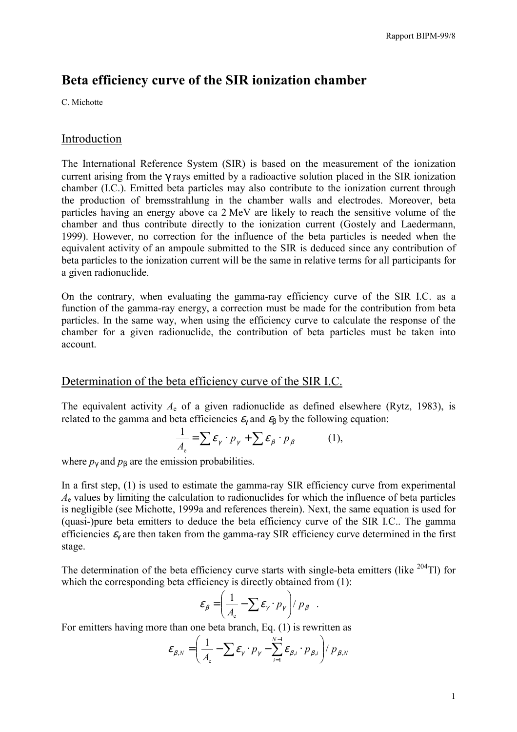# **Beta efficiency curve of the SIR ionization chamber**

C. Michotte

### Introduction

The International Reference System (SIR) is based on the measurement of the ionization current arising from the γ rays emitted by a radioactive solution placed in the SIR ionization chamber (I.C.). Emitted beta particles may also contribute to the ionization current through the production of bremsstrahlung in the chamber walls and electrodes. Moreover, beta particles having an energy above ca 2 MeV are likely to reach the sensitive volume of the chamber and thus contribute directly to the ionization current (Gostely and Laedermann, 1999). However, no correction for the influence of the beta particles is needed when the equivalent activity of an ampoule submitted to the SIR is deduced since any contribution of beta particles to the ionization current will be the same in relative terms for all participants for a given radionuclide.

On the contrary, when evaluating the gamma-ray efficiency curve of the SIR I.C. as a function of the gamma-ray energy, a correction must be made for the contribution from beta particles. In the same way, when using the efficiency curve to calculate the response of the chamber for a given radionuclide, the contribution of beta particles must be taken into account.

## Determination of the beta efficiency curve of the SIR I.C.

The equivalent activity  $A_e$  of a given radionuclide as defined elsewhere (Rytz, 1983), is related to the gamma and beta efficiencies  $\varepsilon<sub>y</sub>$  and  $\varepsilon<sub>β</sub>$  by the following equation:

$$
\frac{1}{A_{\rm e}} = \sum \varepsilon_{\gamma} \cdot p_{\gamma} + \sum \varepsilon_{\beta} \cdot p_{\beta} \tag{1},
$$

where  $p_{\gamma}$  and  $p_{\beta}$  are the emission probabilities.

In a first step, (1) is used to estimate the gamma-ray SIR efficiency curve from experimental *A*e values by limiting the calculation to radionuclides for which the influence of beta particles is negligible (see Michotte, 1999a and references therein). Next, the same equation is used for (quasi-)pure beta emitters to deduce the beta efficiency curve of the SIR I.C.. The gamma efficiencies  $\varepsilon$  are then taken from the gamma-ray SIR efficiency curve determined in the first stage.

The determination of the beta efficiency curve starts with single-beta emitters (like  $^{204}$ Tl) for which the corresponding beta efficiency is directly obtained from  $(1)$ :

$$
\varepsilon_{\beta} = \left(\frac{1}{A_{\rm e}} - \sum \varepsilon_{\gamma} \cdot p_{\gamma}\right) / p_{\beta} .
$$

For emitters having more than one beta branch, Eq. (1) is rewritten as

$$
\varepsilon_{\beta,N} = \left(\frac{1}{A_{\rm e}} - \sum \varepsilon_{\gamma} \cdot p_{\gamma} - \sum_{i=1}^{N-1} \varepsilon_{\beta,i} \cdot p_{\beta,i}\right) / p_{\beta,N}
$$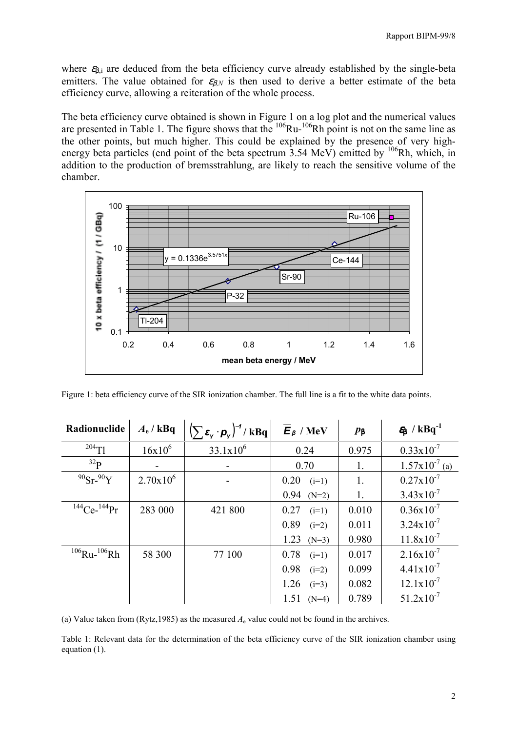where  $\varepsilon_{\beta,i}$  are deduced from the beta efficiency curve already established by the single-beta emitters. The value obtained for  $\varepsilon_{\beta,N}$  is then used to derive a better estimate of the beta efficiency curve, allowing a reiteration of the whole process.

The beta efficiency curve obtained is shown in Figure 1 on a log plot and the numerical values are presented in Table 1. The figure shows that the  $^{106}Ru^{-106}Rh$  point is not on the same line as the other points, but much higher. This could be explained by the presence of very highenergy beta particles (end point of the beta spectrum  $3.54 \text{ MeV}$ ) emitted by  $\frac{106}{h}$ Rh, which, in addition to the production of bremsstrahlung, are likely to reach the sensitive volume of the chamber.



Figure 1: beta efficiency curve of the SIR ionization chamber. The full line is a fit to the white data points.

| Radionuclide             | $A_e$ / kBq   | $\left(\sum \varepsilon_{\mathsf{y}} \cdot \boldsymbol{p}_{\mathsf{y}}\right)^{-1} / k \mathbf{B} \mathbf{q}$ | $\overline{E}_\beta$ / MeV | $\mathbf{p}_{\beta}$ | $\epsilon_{\beta}$ / kBq <sup>-1</sup> |
|--------------------------|---------------|---------------------------------------------------------------------------------------------------------------|----------------------------|----------------------|----------------------------------------|
| $^{204}$ Tl              | $16x10^6$     | $33.1x10^6$                                                                                                   | 0.24                       | 0.975                | $0.33 \times 10^{-7}$                  |
| 32 <sub>p</sub>          |               |                                                                                                               | 0.70                       | 1.                   | $1.57x10^{-7}$ (a)                     |
| $90$ Sr- $90$ Y          | $2.70x10^{6}$ |                                                                                                               | 0.20<br>$(i=1)$            | 1.                   | $0.27 \times 10^{-7}$                  |
|                          |               |                                                                                                               | $0.94$ (N=2)               | 1.                   | $3.43 \times 10^{-7}$                  |
| $^{144}$ Ce- $^{144}$ Pr | 283 000       | 421 800                                                                                                       | 0.27<br>$(i=1)$            | 0.010                | $0.36x10^{-7}$                         |
|                          |               |                                                                                                               | 0.89<br>$(i=2)$            | 0.011                | $3.24 \times 10^{-7}$                  |
|                          |               |                                                                                                               | 1.23<br>$(N=3)$            | 0.980                | $11.8 \times 10^{-7}$                  |
| $106$ Ru- $106$ Rh       | 58 300        | 77 100                                                                                                        | 0.78<br>$(i=1)$            | 0.017                | $2.16x10^{-7}$                         |
|                          |               |                                                                                                               | 0.98<br>$(i=2)$            | 0.099                | $4.41x10^{-7}$                         |
|                          |               |                                                                                                               | 1.26<br>$(i=3)$            | 0.082                | $12.1 \times 10^{-7}$                  |
|                          |               |                                                                                                               | 1.51<br>$(N=4)$            | 0.789                | $51.2 \times 10^{-7}$                  |

(a) Value taken from (Rytz, 1985) as the measured  $A<sub>e</sub>$  value could not be found in the archives.

Table 1: Relevant data for the determination of the beta efficiency curve of the SIR ionization chamber using equation (1).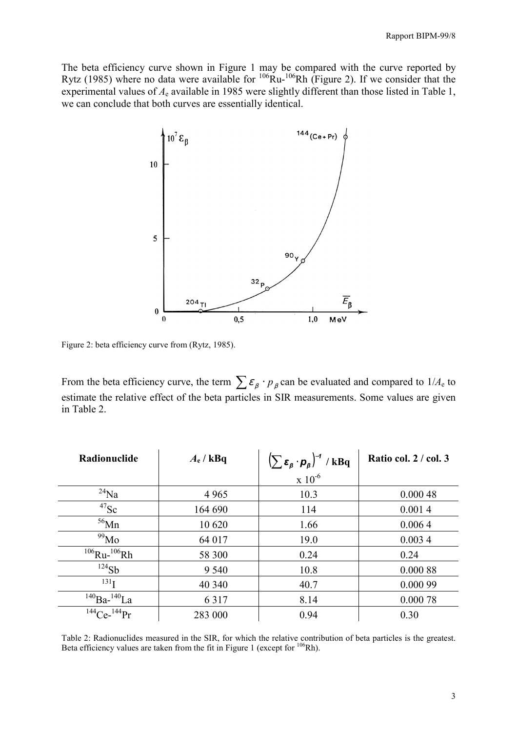The beta efficiency curve shown in Figure 1 may be compared with the curve reported by Rytz (1985) where no data were available for  $106$ Ru- $106$ Rh (Figure 2). If we consider that the experimental values of  $A_e$  available in 1985 were slightly different than those listed in Table 1, we can conclude that both curves are essentially identical.



Figure 2: beta efficiency curve from (Rytz, 1985).

From the beta efficiency curve, the term  $\sum \varepsilon_{\beta} \cdot p_{\beta}$  can be evaluated and compared to  $1/A_e$  to estimate the relative effect of the beta particles in SIR measurements. Some values are given in Table 2.

| Radionuclide        | $A_e$ / kBq | $\left(\sum \varepsilon_{\beta} \cdot p_{\beta}\right)^{-1}$ / kBq | Ratio col. $2 / \text{col. } 3$ |
|---------------------|-------------|--------------------------------------------------------------------|---------------------------------|
|                     |             | $x\ 10^{-6}$                                                       |                                 |
| $^{24}$ Na          | 4 9 6 5     | 10.3                                                               | 0.00048                         |
| $^{47}$ Sc          | 164 690     | 114                                                                | 0.0014                          |
| $56$ Mn             | 10 620      | 1.66                                                               | 0.0064                          |
| $^{99}$ Mo          | 64 017      | 19.0                                                               | 0.0034                          |
| $106$ Ru- $106$ Rh  | 58 300      | 0.24                                                               | 0.24                            |
| $^{124}Sb$          | 9 5 4 0     | 10.8                                                               | 0.000 88                        |
| 131 <sub>T</sub>    | 40 340      | 40.7                                                               | 0.000 99                        |
| $^{140}Ba^{-140}La$ | 6 3 1 7     | 8.14                                                               | 0.00078                         |
| $144$ Ce- $144$ Pr  | 283 000     | 0.94                                                               | 0.30                            |

Table 2: Radionuclides measured in the SIR, for which the relative contribution of beta particles is the greatest. Beta efficiency values are taken from the fit in Figure 1 (except for <sup>106</sup>Rh).